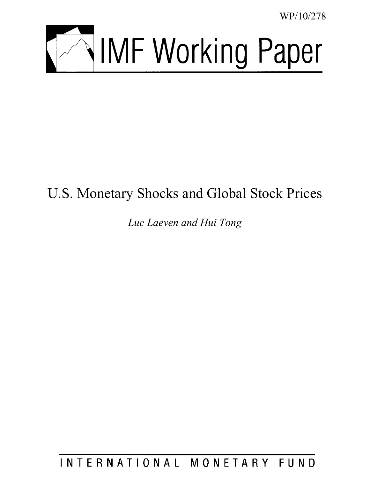WP/10/278



# U.S. Monetary Shocks and Global Stock Prices

*Luc Laeven and Hui Tong* 

INTERNATIONAL MONETARY FUND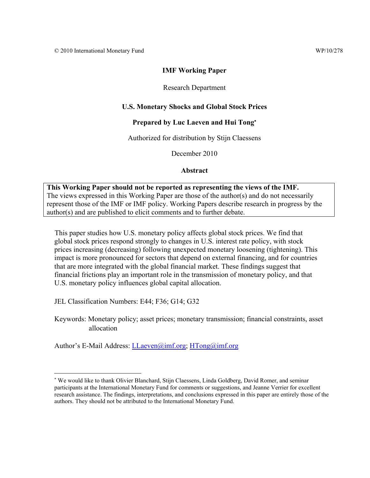# **IMF Working Paper**

# Research Department

# **U.S. Monetary Shocks and Global Stock Prices**

# **Prepared by Luc Laeven and Hui Tong**

# Authorized for distribution by Stijn Claessens

December 2010

# **Abstract**

# **This Working Paper should not be reported as representing the views of the IMF.**  The views expressed in this Working Paper are those of the author(s) and do not necessarily represent those of the IMF or IMF policy. Working Papers describe research in progress by the author(s) and are published to elicit comments and to further debate.

This paper studies how U.S. monetary policy affects global stock prices. We find that global stock prices respond strongly to changes in U.S. interest rate policy, with stock prices increasing (decreasing) following unexpected monetary loosening (tightening). This impact is more pronounced for sectors that depend on external financing, and for countries that are more integrated with the global financial market. These findings suggest that financial frictions play an important role in the transmission of monetary policy, and that U.S. monetary policy influences global capital allocation.

JEL Classification Numbers: E44; F36; G14; G32

 $\overline{a}$ 

Keywords: Monetary policy; asset prices; monetary transmission; financial constraints, asset allocation

Author's E-Mail Address: LLaeven@imf.org; HTong@imf.org

 We would like to thank Olivier Blanchard, Stijn Claessens, Linda Goldberg, David Romer, and seminar participants at the International Monetary Fund for comments or suggestions, and Jeanne Verrier for excellent research assistance. The findings, interpretations, and conclusions expressed in this paper are entirely those of the authors. They should not be attributed to the International Monetary Fund.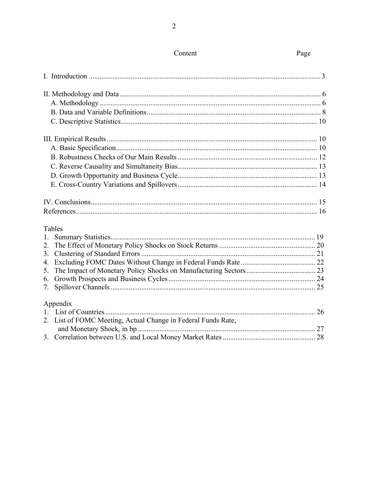|                  | <b>Tables</b>                                                 |  |
|------------------|---------------------------------------------------------------|--|
|                  |                                                               |  |
| $\overline{2}$ . |                                                               |  |
| 3.               |                                                               |  |
| 4.               |                                                               |  |
| 5.               |                                                               |  |
| 6.               |                                                               |  |
| 7.               |                                                               |  |
|                  | Appendix                                                      |  |
|                  |                                                               |  |
|                  | 2. List of FOMC Meeting, Actual Change in Federal Funds Rate, |  |
|                  |                                                               |  |
|                  |                                                               |  |
|                  |                                                               |  |

Content

Page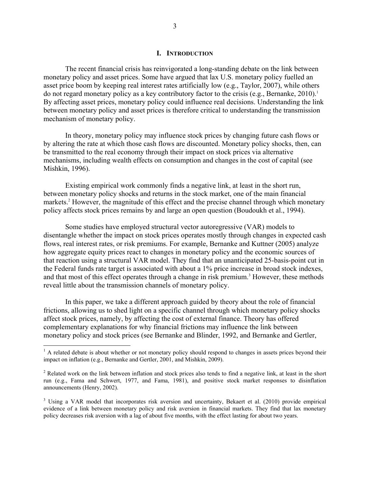#### **I. INTRODUCTION**

The recent financial crisis has reinvigorated a long-standing debate on the link between monetary policy and asset prices. Some have argued that lax U.S. monetary policy fuelled an asset price boom by keeping real interest rates artificially low (e.g., Taylor, 2007), while others do not regard monetary policy as a key contributory factor to the crisis (e.g., Bernanke,  $2010$ ).<sup>1</sup> By affecting asset prices, monetary policy could influence real decisions. Understanding the link between monetary policy and asset prices is therefore critical to understanding the transmission mechanism of monetary policy.

In theory, monetary policy may influence stock prices by changing future cash flows or by altering the rate at which those cash flows are discounted. Monetary policy shocks, then, can be transmitted to the real economy through their impact on stock prices via alternative mechanisms, including wealth effects on consumption and changes in the cost of capital (see Mishkin, 1996).

Existing empirical work commonly finds a negative link, at least in the short run, between monetary policy shocks and returns in the stock market, one of the main financial markets.<sup>2</sup> However, the magnitude of this effect and the precise channel through which monetary policy affects stock prices remains by and large an open question (Boudoukh et al., 1994).

Some studies have employed structural vector autoregressive (VAR) models to disentangle whether the impact on stock prices operates mostly through changes in expected cash flows, real interest rates, or risk premiums. For example, Bernanke and Kuttner (2005) analyze how aggregate equity prices react to changes in monetary policy and the economic sources of that reaction using a structural VAR model. They find that an unanticipated 25-basis-point cut in the Federal funds rate target is associated with about a 1% price increase in broad stock indexes, and that most of this effect operates through a change in risk premium.<sup>3</sup> However, these methods reveal little about the transmission channels of monetary policy.

In this paper, we take a different approach guided by theory about the role of financial frictions, allowing us to shed light on a specific channel through which monetary policy shocks affect stock prices, namely, by affecting the cost of external finance. Theory has offered complementary explanations for why financial frictions may influence the link between monetary policy and stock prices (see Bernanke and Blinder, 1992, and Bernanke and Gertler,

1

<sup>&</sup>lt;sup>1</sup> A related debate is about whether or not monetary policy should respond to changes in assets prices beyond their impact on inflation (e.g., Bernanke and Gertler, 2001, and Mishkin, 2009).

 $2^2$  Related work on the link between inflation and stock prices also tends to find a negative link, at least in the short run (e.g., Fama and Schwert, 1977, and Fama, 1981), and positive stock market responses to disinflation announcements (Henry, 2002).

<sup>&</sup>lt;sup>3</sup> Using a VAR model that incorporates risk aversion and uncertainty, Bekaert et al. (2010) provide empirical evidence of a link between monetary policy and risk aversion in financial markets. They find that lax monetary policy decreases risk aversion with a lag of about five months, with the effect lasting for about two years.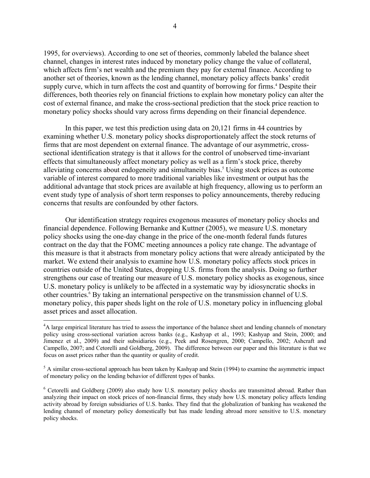1995, for overviews). According to one set of theories, commonly labeled the balance sheet channel, changes in interest rates induced by monetary policy change the value of collateral, which affects firm's net wealth and the premium they pay for external finance. According to another set of theories, known as the lending channel, monetary policy affects banks' credit supply curve, which in turn affects the cost and quantity of borrowing for firms.<sup>4</sup> Despite their differences, both theories rely on financial frictions to explain how monetary policy can alter the cost of external finance, and make the cross-sectional prediction that the stock price reaction to monetary policy shocks should vary across firms depending on their financial dependence.

In this paper, we test this prediction using data on 20,121 firms in 44 countries by examining whether U.S. monetary policy shocks disproportionately affect the stock returns of firms that are most dependent on external finance. The advantage of our asymmetric, crosssectional identification strategy is that it allows for the control of unobserved time-invariant effects that simultaneously affect monetary policy as well as a firm's stock price, thereby alleviating concerns about endogeneity and simultaneity bias.<sup>5</sup> Using stock prices as outcome variable of interest compared to more traditional variables like investment or output has the additional advantage that stock prices are available at high frequency, allowing us to perform an event study type of analysis of short term responses to policy announcements, thereby reducing concerns that results are confounded by other factors.

Our identification strategy requires exogenous measures of monetary policy shocks and financial dependence. Following Bernanke and Kuttner (2005), we measure U.S. monetary policy shocks using the one-day change in the price of the one-month federal funds futures contract on the day that the FOMC meeting announces a policy rate change. The advantage of this measure is that it abstracts from monetary policy actions that were already anticipated by the market. We extend their analysis to examine how U.S. monetary policy affects stock prices in countries outside of the United States, dropping U.S. firms from the analysis. Doing so further strengthens our case of treating our measure of U.S. monetary policy shocks as exogenous, since U.S. monetary policy is unlikely to be affected in a systematic way by idiosyncratic shocks in other countries.<sup>6</sup> By taking an international perspective on the transmission channel of U.S. monetary policy, this paper sheds light on the role of U.S. monetary policy in influencing global asset prices and asset allocation.

 $\overline{a}$ 

<sup>&</sup>lt;sup>4</sup>A large empirical literature has tried to assess the importance of the balance sheet and lending channels of monetary policy using cross-sectional variation across banks (e.g., Kashyap et al., 1993; Kashyap and Stein, 2000; and Jimenez et al., 2009) and their subsidiaries (e.g., Peek and Rosengren, 2000; Campello, 2002; Ashcraft and Campello, 2007; and Cetorelli and Goldberg, 2009). The difference between our paper and this literature is that we focus on asset prices rather than the quantity or quality of credit.

 $<sup>5</sup>$  A similar cross-sectional approach has been taken by Kashyap and Stein (1994) to examine the asymmetric impact</sup> of monetary policy on the lending behavior of different types of banks.

<sup>&</sup>lt;sup>6</sup> Cetorelli and Goldberg (2009) also study how U.S. monetary policy shocks are transmitted abroad. Rather than analyzing their impact on stock prices of non-financial firms, they study how U.S. monetary policy affects lending activity abroad by foreign subsidiaries of U.S. banks. They find that the globalization of banking has weakened the lending channel of monetary policy domestically but has made lending abroad more sensitive to U.S. monetary policy shocks.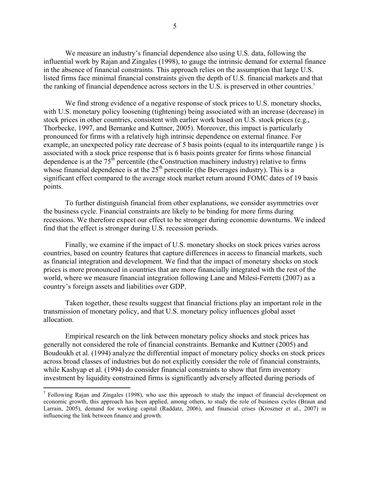We measure an industry's financial dependence also using U.S. data, following the influential work by Rajan and Zingales (1998), to gauge the intrinsic demand for external finance in the absence of financial constraints. This approach relies on the assumption that large U.S. listed firms face minimal financial constraints given the depth of U.S. financial markets and that the ranking of financial dependence across sectors in the U.S. is preserved in other countries.7

We find strong evidence of a negative response of stock prices to U.S. monetary shocks, with U.S. monetary policy loosening (tightening) being associated with an increase (decrease) in stock prices in other countries, consistent with earlier work based on U.S. stock prices (e.g., Thorbecke, 1997, and Bernanke and Kuttner, 2005). Moreover, this impact is particularly pronounced for firms with a relatively high intrinsic dependence on external finance. For example, an unexpected policy rate decrease of 5 basis points (equal to its interquartile range ) is associated with a stock price response that is 6 basis points greater for firms whose financial dependence is at the  $75<sup>th</sup>$  percentile (the Construction machinery industry) relative to firms whose financial dependence is at the  $25<sup>th</sup>$  percentile (the Beverages industry). This is a significant effect compared to the average stock market return around FOMC dates of 19 basis points.

To further distinguish financial from other explanations, we consider asymmetries over the business cycle. Financial constraints are likely to be binding for more firms during recessions. We therefore expect our effect to be stronger during economic downturns. We indeed find that the effect is stronger during U.S. recession periods.

Finally, we examine if the impact of U.S. monetary shocks on stock prices varies across countries, based on country features that capture differences in access to financial markets, such as financial integration and development. We find that the impact of monetary shocks on stock prices is more pronounced in countries that are more financially integrated with the rest of the world, where we measure financial integration following Lane and Milesi-Ferretti (2007) as a country's foreign assets and liabilities over GDP.

Taken together, these results suggest that financial frictions play an important role in the transmission of monetary policy, and that U.S. monetary policy influences global asset allocation.

Empirical research on the link between monetary policy shocks and stock prices has generally not considered the role of financial constraints. Bernanke and Kuttner (2005) and Boudoukh et al. (1994) analyze the differential impact of monetary policy shocks on stock prices across broad classes of industries but do not explicitly consider the role of financial constraints, while Kashyap et al. (1994) do consider financial constraints to show that firm inventory investment by liquidity constrained firms is significantly adversely affected during periods of

 $\overline{a}$ 

 $<sup>7</sup>$  Following Rajan and Zingales (1998), who use this approach to study the impact of financial development on</sup> economic growth, this approach has been applied, among others, to study the role of business cycles (Braun and Larrain, 2005), demand for working capital (Raddatz, 2006), and financial crises (Kroszner et al., 2007) in influencing the link between finance and growth.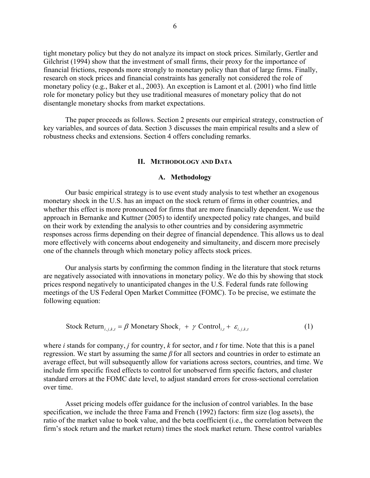tight monetary policy but they do not analyze its impact on stock prices. Similarly, Gertler and Gilchrist (1994) show that the investment of small firms, their proxy for the importance of financial frictions, responds more strongly to monetary policy than that of large firms. Finally, research on stock prices and financial constraints has generally not considered the role of monetary policy (e.g., Baker et al., 2003). An exception is Lamont et al. (2001) who find little role for monetary policy but they use traditional measures of monetary policy that do not disentangle monetary shocks from market expectations.

The paper proceeds as follows. Section 2 presents our empirical strategy, construction of key variables, and sources of data. Section 3 discusses the main empirical results and a slew of robustness checks and extensions. Section 4 offers concluding remarks.

#### **II. METHODOLOGY AND DATA**

#### **A. Methodology**

 Our basic empirical strategy is to use event study analysis to test whether an exogenous monetary shock in the U.S. has an impact on the stock return of firms in other countries, and whether this effect is more pronounced for firms that are more financially dependent. We use the approach in Bernanke and Kuttner (2005) to identify unexpected policy rate changes, and build on their work by extending the analysis to other countries and by considering asymmetric responses across firms depending on their degree of financial dependence. This allows us to deal more effectively with concerns about endogeneity and simultaneity, and discern more precisely one of the channels through which monetary policy affects stock prices.

Our analysis starts by confirming the common finding in the literature that stock returns are negatively associated with innovations in monetary policy. We do this by showing that stock prices respond negatively to unanticipated changes in the U.S. Federal funds rate following meetings of the US Federal Open Market Committee (FOMC). To be precise, we estimate the following equation:

Stock Return<sub>i,j,k,t</sub> = 
$$
\beta
$$
 Monetary Shock<sub>t</sub> +  $\gamma$  Control<sub>i,t</sub> +  $\varepsilon_{i,j,k,t}$  (1)

where *i* stands for company, *j* for country, *k* for sector, and *t* for time. Note that this is a panel regression. We start by assuming the same *β* for all sectors and countries in order to estimate an average effect, but will subsequently allow for variations across sectors, countries, and time. We include firm specific fixed effects to control for unobserved firm specific factors, and cluster standard errors at the FOMC date level, to adjust standard errors for cross-sectional correlation over time.

Asset pricing models offer guidance for the inclusion of control variables. In the base specification, we include the three Fama and French (1992) factors: firm size (log assets), the ratio of the market value to book value, and the beta coefficient (i.e., the correlation between the firm's stock return and the market return) times the stock market return. These control variables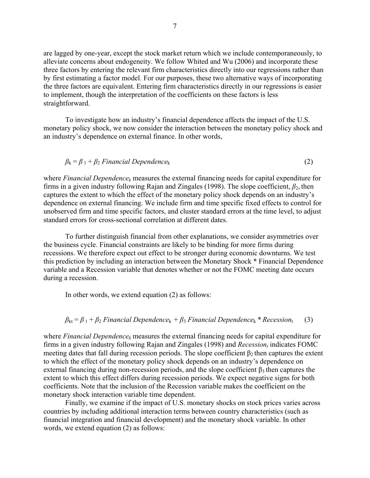are lagged by one-year, except the stock market return which we include contemporaneously, to alleviate concerns about endogeneity. We follow Whited and Wu (2006) and incorporate these three factors by entering the relevant firm characteristics directly into our regressions rather than by first estimating a factor model. For our purposes, these two alternative ways of incorporating the three factors are equivalent. Entering firm characteristics directly in our regressions is easier to implement, though the interpretation of the coefficients on these factors is less straightforward.

To investigate how an industry's financial dependence affects the impact of the U.S. monetary policy shock, we now consider the interaction between the monetary policy shock and an industry's dependence on external finance. In other words,

$$
\beta_k = \beta_1 + \beta_2 \text{ Financial Dependence}_k \tag{2}
$$

where *Financial Dependencek* measures the external financing needs for capital expenditure for firms in a given industry following Rajan and Zingales (1998). The slope coefficient, *β*2, then captures the extent to which the effect of the monetary policy shock depends on an industry's dependence on external financing. We include firm and time specific fixed effects to control for unobserved firm and time specific factors, and cluster standard errors at the time level, to adjust standard errors for cross-sectional correlation at different dates.

To further distinguish financial from other explanations, we consider asymmetries over the business cycle. Financial constraints are likely to be binding for more firms during recessions. We therefore expect out effect to be stronger during economic downturns. We test this prediction by including an interaction between the Monetary Shock \* Financial Dependence variable and a Recession variable that denotes whether or not the FOMC meeting date occurs during a recession.

In other words, we extend equation (2) as follows:

# $\beta_{kt} = \beta_1 + \beta_2$  *Financial Dependence*<sub>k</sub> +  $\beta_3$  *Financial Dependence<sub>k</sub> \* Recession*<sub>t</sub> (3)

where *Financial Dependencek* measures the external financing needs for capital expenditure for firms in a given industry following Rajan and Zingales (1998) and *Recession*<sup>t</sup> indicates FOMC meeting dates that fall during recession periods. The slope coefficient  $\beta_2$  then captures the extent to which the effect of the monetary policy shock depends on an industry's dependence on external financing during non-recession periods, and the slope coefficient  $\beta_3$  then captures the extent to which this effect differs during recession periods. We expect negative signs for both coefficients. Note that the inclusion of the Recession variable makes the coefficient on the monetary shock interaction variable time dependent.

Finally, we examine if the impact of U.S. monetary shocks on stock prices varies across countries by including additional interaction terms between country characteristics (such as financial integration and financial development) and the monetary shock variable. In other words, we extend equation (2) as follows: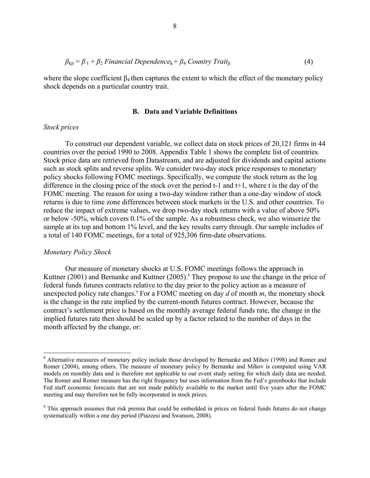$$
\beta_{\text{kjt}} = \beta_1 + \beta_2 \text{ Financial Dependence}_{\text{k}} + \beta_4 \text{Country Trait}_{\text{jt}} \tag{4}
$$

where the slope coefficient  $\beta_4$  then captures the extent to which the effect of the monetary policy shock depends on a particular country trait.

#### **B. Data and Variable Definitions**

#### *Stock prices*

 To construct our dependent variable, we collect data on stock prices of 20,121 firms in 44 countries over the period 1990 to 2008. Appendix Table 1 shows the complete list of countries. Stock price data are retrieved from Datastream, and are adjusted for dividends and capital actions such as stock splits and reverse splits. We consider two-day stock price responses to monetary policy shocks following FOMC meetings. Specifically, we compute the stock return as the log difference in the closing price of the stock over the period  $t-1$  and  $t+1$ , where t is the day of the FOMC meeting. The reason for using a two-day window rather than a one-day window of stock returns is due to time zone differences between stock markets in the U.S. and other countries. To reduce the impact of extreme values, we drop two-day stock returns with a value of above 50% or below -50%, which covers 0.1% of the sample. As a robustness check, we also winsorize the sample at its top and bottom 1% level, and the key results carry through. Our sample includes of a total of 140 FOMC meetings, for a total of 925,306 firm-date observations.

#### *Monetary Policy Shock*

 $\overline{a}$ 

Our measure of monetary shocks at U.S. FOMC meetings follows the approach in Kuttner (2001) and Bernanke and Kuttner (2005).<sup>8</sup> They propose to use the change in the price of federal funds futures contracts relative to the day prior to the policy action as a measure of unexpected policy rate changes.9 For a FOMC meeting on day *d* of month *m*, the monetary shock is the change in the rate implied by the current-month futures contract. However, because the contract's settlement price is based on the monthly average federal funds rate, the change in the implied futures rate then should be scaled up by a factor related to the number of days in the month affected by the change, or:

<sup>&</sup>lt;sup>8</sup> Alternative measures of monetary policy include those developed by Bernanke and Mihov (1998) and Romer and Romer (2004), among others. The measure of monetary policy by Bernanke and Mihov is computed using VAR models on monthly data and is therefore not applicable to our event study setting for which daily data are needed. The Romer and Romer measure has the right frequency but uses information from the Fed's greenbooks that include Fed staff economic forecasts that are not made publicly available to the market until five years after the FOMC meeting and may therefore not be fully incorporated in stock prices.

<sup>&</sup>lt;sup>9</sup> This approach assumes that risk premia that could be embedded in prices on federal funds futures do not change systematically within a one day period (Piazzesi and Swanson, 2008).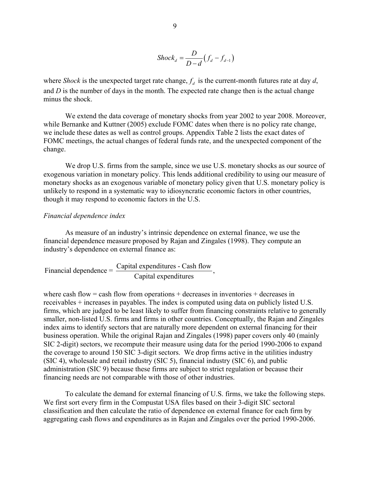$$
Shock_d = \frac{D}{D-d}(f_d - f_{d-1})
$$

where *Shock* is the unexpected target rate change,  $f_d$  is the current-month futures rate at day  $d$ , and *D* is the number of days in the month. The expected rate change then is the actual change minus the shock.

We extend the data coverage of monetary shocks from year 2002 to year 2008. Moreover, while Bernanke and Kuttner (2005) exclude FOMC dates when there is no policy rate change, we include these dates as well as control groups. Appendix Table 2 lists the exact dates of FOMC meetings, the actual changes of federal funds rate, and the unexpected component of the change.

We drop U.S. firms from the sample, since we use U.S. monetary shocks as our source of exogenous variation in monetary policy. This lends additional credibility to using our measure of monetary shocks as an exogenous variable of monetary policy given that U.S. monetary policy is unlikely to respond in a systematic way to idiosyncratic economic factors in other countries, though it may respond to economic factors in the U.S.

### *Financial dependence index*

As measure of an industry's intrinsic dependence on external finance, we use the financial dependence measure proposed by Rajan and Zingales (1998). They compute an industry's dependence on external finance as:

Financial dependence =  $\frac{\text{Capital expenditures - Cash flow}}{\text{Capital expenditures}}$ ,

where cash flow  $=$  cash flow from operations  $+$  decreases in inventories  $+$  decreases in receivables + increases in payables. The index is computed using data on publicly listed U.S. firms, which are judged to be least likely to suffer from financing constraints relative to generally smaller, non-listed U.S. firms and firms in other countries. Conceptually, the Rajan and Zingales index aims to identify sectors that are naturally more dependent on external financing for their business operation. While the original Rajan and Zingales (1998) paper covers only 40 (mainly SIC 2-digit) sectors, we recompute their measure using data for the period 1990-2006 to expand the coverage to around 150 SIC 3-digit sectors. We drop firms active in the utilities industry (SIC 4), wholesale and retail industry (SIC 5), financial industry (SIC 6), and public administration (SIC 9) because these firms are subject to strict regulation or because their financing needs are not comparable with those of other industries.

To calculate the demand for external financing of U.S. firms, we take the following steps. We first sort every firm in the Compustat USA files based on their 3-digit SIC sectoral classification and then calculate the ratio of dependence on external finance for each firm by aggregating cash flows and expenditures as in Rajan and Zingales over the period 1990-2006.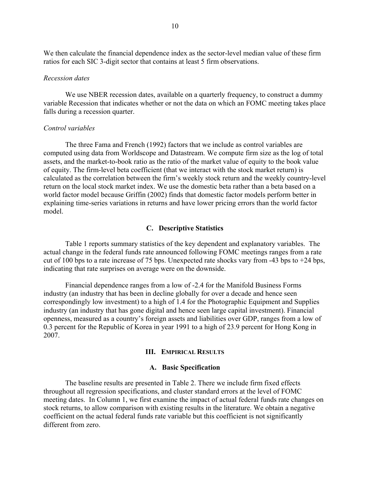We then calculate the financial dependence index as the sector-level median value of these firm ratios for each SIC 3-digit sector that contains at least 5 firm observations.

#### *Recession dates*

We use NBER recession dates, available on a quarterly frequency, to construct a dummy variable Recession that indicates whether or not the data on which an FOMC meeting takes place falls during a recession quarter.

#### *Control variables*

The three Fama and French (1992) factors that we include as control variables are computed using data from Worldscope and Datastream. We compute firm size as the log of total assets, and the market-to-book ratio as the ratio of the market value of equity to the book value of equity. The firm-level beta coefficient (that we interact with the stock market return) is calculated as the correlation between the firm's weekly stock return and the weekly country-level return on the local stock market index. We use the domestic beta rather than a beta based on a world factor model because Griffin (2002) finds that domestic factor models perform better in explaining time-series variations in returns and have lower pricing errors than the world factor model.

#### **C. Descriptive Statistics**

Table 1 reports summary statistics of the key dependent and explanatory variables. The actual change in the federal funds rate announced following FOMC meetings ranges from a rate cut of 100 bps to a rate increase of 75 bps. Unexpected rate shocks vary from -43 bps to +24 bps, indicating that rate surprises on average were on the downside.

Financial dependence ranges from a low of -2.4 for the Manifold Business Forms industry (an industry that has been in decline globally for over a decade and hence seen correspondingly low investment) to a high of 1.4 for the Photographic Equipment and Supplies industry (an industry that has gone digital and hence seen large capital investment). Financial openness, measured as a country's foreign assets and liabilities over GDP, ranges from a low of 0.3 percent for the Republic of Korea in year 1991 to a high of 23.9 percent for Hong Kong in 2007.

#### **III. EMPIRICAL RESULTS**

#### **A. Basic Specification**

The baseline results are presented in Table 2. There we include firm fixed effects throughout all regression specifications, and cluster standard errors at the level of FOMC meeting dates. In Column 1, we first examine the impact of actual federal funds rate changes on stock returns, to allow comparison with existing results in the literature. We obtain a negative coefficient on the actual federal funds rate variable but this coefficient is not significantly different from zero.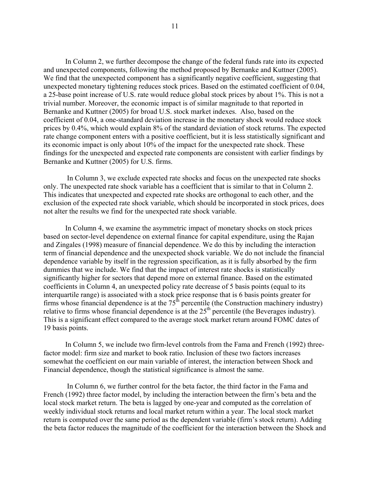In Column 2, we further decompose the change of the federal funds rate into its expected and unexpected components, following the method proposed by Bernanke and Kuttner (2005). We find that the unexpected component has a significantly negative coefficient, suggesting that unexpected monetary tightening reduces stock prices. Based on the estimated coefficient of 0.04, a 25-base point increase of U.S. rate would reduce global stock prices by about 1%. This is not a trivial number. Moreover, the economic impact is of similar magnitude to that reported in Bernanke and Kuttner (2005) for broad U.S. stock market indexes. Also, based on the coefficient of 0.04, a one-standard deviation increase in the monetary shock would reduce stock prices by 0.4%, which would explain 8% of the standard deviation of stock returns. The expected rate change component enters with a positive coefficient, but it is less statistically significant and its economic impact is only about 10% of the impact for the unexpected rate shock. These findings for the unexpected and expected rate components are consistent with earlier findings by Bernanke and Kuttner (2005) for U.S. firms.

 In Column 3, we exclude expected rate shocks and focus on the unexpected rate shocks only. The unexpected rate shock variable has a coefficient that is similar to that in Column 2. This indicates that unexpected and expected rate shocks are orthogonal to each other, and the exclusion of the expected rate shock variable, which should be incorporated in stock prices, does not alter the results we find for the unexpected rate shock variable.

In Column 4, we examine the asymmetric impact of monetary shocks on stock prices based on sector-level dependence on external finance for capital expenditure, using the Rajan and Zingales (1998) measure of financial dependence. We do this by including the interaction term of financial dependence and the unexpected shock variable. We do not include the financial dependence variable by itself in the regression specification, as it is fully absorbed by the firm dummies that we include. We find that the impact of interest rate shocks is statistically significantly higher for sectors that depend more on external finance. Based on the estimated coefficients in Column 4, an unexpected policy rate decrease of 5 basis points (equal to its interquartile range) is associated with a stock price response that is 6 basis points greater for firms whose financial dependence is at the  $75<sup>th</sup>$  percentile (the Construction machinery industry) relative to firms whose financial dependence is at the  $25<sup>th</sup>$  percentile (the Beverages industry). This is a significant effect compared to the average stock market return around FOMC dates of 19 basis points.

In Column 5, we include two firm-level controls from the Fama and French (1992) threefactor model: firm size and market to book ratio. Inclusion of these two factors increases somewhat the coefficient on our main variable of interest, the interaction between Shock and Financial dependence, though the statistical significance is almost the same.

 In Column 6, we further control for the beta factor, the third factor in the Fama and French (1992) three factor model, by including the interaction between the firm's beta and the local stock market return. The beta is lagged by one-year and computed as the correlation of weekly individual stock returns and local market return within a year. The local stock market return is computed over the same period as the dependent variable (firm's stock return). Adding the beta factor reduces the magnitude of the coefficient for the interaction between the Shock and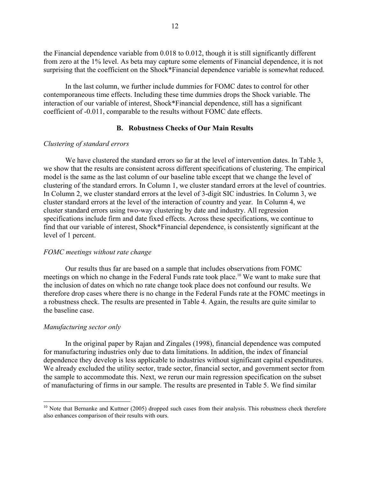the Financial dependence variable from 0.018 to 0.012, though it is still significantly different from zero at the 1% level. As beta may capture some elements of Financial dependence, it is not surprising that the coefficient on the Shock\*Financial dependence variable is somewhat reduced.

In the last column, we further include dummies for FOMC dates to control for other contemporaneous time effects. Including these time dummies drops the Shock variable. The interaction of our variable of interest, Shock\*Financial dependence, still has a significant coefficient of -0.011, comparable to the results without FOMC date effects.

### **B. Robustness Checks of Our Main Results**

#### *Clustering of standard errors*

We have clustered the standard errors so far at the level of intervention dates. In Table 3, we show that the results are consistent across different specifications of clustering. The empirical model is the same as the last column of our baseline table except that we change the level of clustering of the standard errors. In Column 1, we cluster standard errors at the level of countries. In Column 2, we cluster standard errors at the level of 3-digit SIC industries. In Column 3, we cluster standard errors at the level of the interaction of country and year. In Column 4, we cluster standard errors using two-way clustering by date and industry. All regression specifications include firm and date fixed effects. Across these specifications, we continue to find that our variable of interest, Shock\*Financial dependence, is consistently significant at the level of 1 percent.

#### *FOMC meetings without rate change*

Our results thus far are based on a sample that includes observations from FOMC meetings on which no change in the Federal Funds rate took place.<sup>10</sup> We want to make sure that the inclusion of dates on which no rate change took place does not confound our results. We therefore drop cases where there is no change in the Federal Funds rate at the FOMC meetings in a robustness check. The results are presented in Table 4. Again, the results are quite similar to the baseline case.

#### *Manufacturing sector only*

1

In the original paper by Rajan and Zingales (1998), financial dependence was computed for manufacturing industries only due to data limitations. In addition, the index of financial dependence they develop is less applicable to industries without significant capital expenditures. We already excluded the utility sector, trade sector, financial sector, and government sector from the sample to accommodate this. Next, we rerun our main regression specification on the subset of manufacturing of firms in our sample. The results are presented in Table 5. We find similar

 $10$  Note that Bernanke and Kuttner (2005) dropped such cases from their analysis. This robustness check therefore also enhances comparison of their results with ours.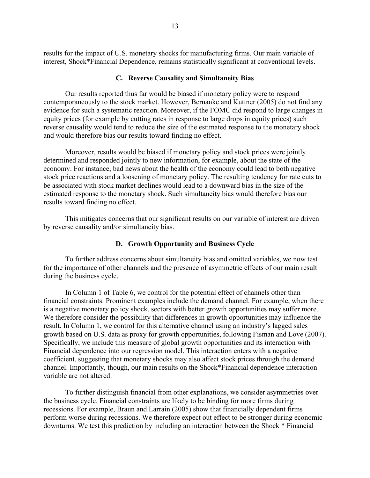results for the impact of U.S. monetary shocks for manufacturing firms. Our main variable of interest, Shock\*Financial Dependence, remains statistically significant at conventional levels.

#### **C. Reverse Causality and Simultaneity Bias**

Our results reported thus far would be biased if monetary policy were to respond contemporaneously to the stock market. However, Bernanke and Kuttner (2005) do not find any evidence for such a systematic reaction. Moreover, if the FOMC did respond to large changes in equity prices (for example by cutting rates in response to large drops in equity prices) such reverse causality would tend to reduce the size of the estimated response to the monetary shock and would therefore bias our results toward finding no effect.

Moreover, results would be biased if monetary policy and stock prices were jointly determined and responded jointly to new information, for example, about the state of the economy. For instance, bad news about the health of the economy could lead to both negative stock price reactions and a loosening of monetary policy. The resulting tendency for rate cuts to be associated with stock market declines would lead to a downward bias in the size of the estimated response to the monetary shock. Such simultaneity bias would therefore bias our results toward finding no effect.

This mitigates concerns that our significant results on our variable of interest are driven by reverse causality and/or simultaneity bias.

### **D. Growth Opportunity and Business Cycle**

To further address concerns about simultaneity bias and omitted variables, we now test for the importance of other channels and the presence of asymmetric effects of our main result during the business cycle.

In Column 1 of Table 6, we control for the potential effect of channels other than financial constraints. Prominent examples include the demand channel. For example, when there is a negative monetary policy shock, sectors with better growth opportunities may suffer more. We therefore consider the possibility that differences in growth opportunities may influence the result. In Column 1, we control for this alternative channel using an industry's lagged sales growth based on U.S. data as proxy for growth opportunities, following Fisman and Love (2007). Specifically, we include this measure of global growth opportunities and its interaction with Financial dependence into our regression model. This interaction enters with a negative coefficient, suggesting that monetary shocks may also affect stock prices through the demand channel. Importantly, though, our main results on the Shock\*Financial dependence interaction variable are not altered.

To further distinguish financial from other explanations, we consider asymmetries over the business cycle. Financial constraints are likely to be binding for more firms during recessions. For example, Braun and Larrain (2005) show that financially dependent firms perform worse during recessions. We therefore expect out effect to be stronger during economic downturns. We test this prediction by including an interaction between the Shock \* Financial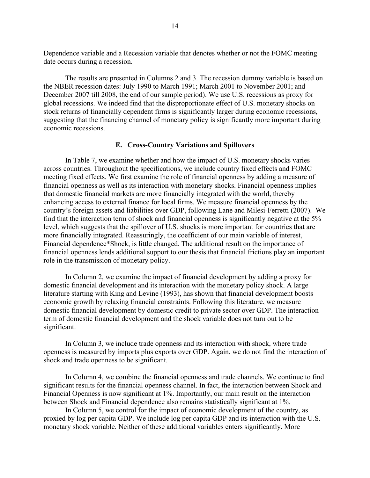Dependence variable and a Recession variable that denotes whether or not the FOMC meeting date occurs during a recession.

The results are presented in Columns 2 and 3. The recession dummy variable is based on the NBER recession dates: July 1990 to March 1991; March 2001 to November 2001; and December 2007 till 2008, the end of our sample period). We use U.S. recessions as proxy for global recessions. We indeed find that the disproportionate effect of U.S. monetary shocks on stock returns of financially dependent firms is significantly larger during economic recessions, suggesting that the financing channel of monetary policy is significantly more important during economic recessions.

#### **E. Cross-Country Variations and Spillovers**

 In Table 7, we examine whether and how the impact of U.S. monetary shocks varies across countries. Throughout the specifications, we include country fixed effects and FOMC meeting fixed effects. We first examine the role of financial openness by adding a measure of financial openness as well as its interaction with monetary shocks. Financial openness implies that domestic financial markets are more financially integrated with the world, thereby enhancing access to external finance for local firms. We measure financial openness by the country's foreign assets and liabilities over GDP, following Lane and Milesi-Ferretti (2007). We find that the interaction term of shock and financial openness is significantly negative at the 5% level, which suggests that the spillover of U.S. shocks is more important for countries that are more financially integrated. Reassuringly, the coefficient of our main variable of interest, Financial dependence\*Shock, is little changed. The additional result on the importance of financial openness lends additional support to our thesis that financial frictions play an important role in the transmission of monetary policy.

In Column 2, we examine the impact of financial development by adding a proxy for domestic financial development and its interaction with the monetary policy shock. A large literature starting with King and Levine (1993), has shown that financial development boosts economic growth by relaxing financial constraints. Following this literature, we measure domestic financial development by domestic credit to private sector over GDP. The interaction term of domestic financial development and the shock variable does not turn out to be significant.

In Column 3, we include trade openness and its interaction with shock, where trade openness is measured by imports plus exports over GDP. Again, we do not find the interaction of shock and trade openness to be significant.

In Column 4, we combine the financial openness and trade channels. We continue to find significant results for the financial openness channel. In fact, the interaction between Shock and Financial Openness is now significant at 1%. Importantly, our main result on the interaction between Shock and Financial dependence also remains statistically significant at 1%.

In Column 5, we control for the impact of economic development of the country, as proxied by log per capita GDP. We include log per capita GDP and its interaction with the U.S. monetary shock variable. Neither of these additional variables enters significantly. More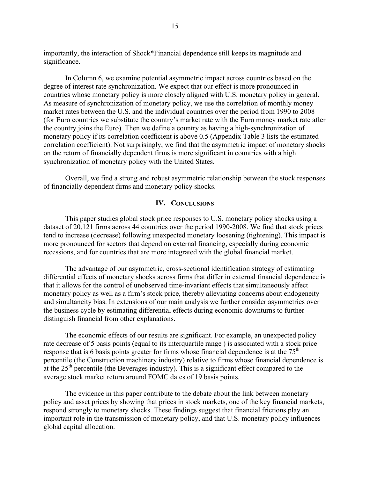importantly, the interaction of Shock\*Financial dependence still keeps its magnitude and significance.

In Column 6, we examine potential asymmetric impact across countries based on the degree of interest rate synchronization. We expect that our effect is more pronounced in countries whose monetary policy is more closely aligned with U.S. monetary policy in general. As measure of synchronization of monetary policy, we use the correlation of monthly money market rates between the U.S. and the individual countries over the period from 1990 to 2008 (for Euro countries we substitute the country's market rate with the Euro money market rate after the country joins the Euro). Then we define a country as having a high-synchronization of monetary policy if its correlation coefficient is above 0.5 (Appendix Table 3 lists the estimated correlation coefficient). Not surprisingly, we find that the asymmetric impact of monetary shocks on the return of financially dependent firms is more significant in countries with a high synchronization of monetary policy with the United States.

Overall, we find a strong and robust asymmetric relationship between the stock responses of financially dependent firms and monetary policy shocks.

# **IV. CONCLUSIONS**

This paper studies global stock price responses to U.S. monetary policy shocks using a dataset of 20,121 firms across 44 countries over the period 1990-2008. We find that stock prices tend to increase (decrease) following unexpected monetary loosening (tightening). This impact is more pronounced for sectors that depend on external financing, especially during economic recessions, and for countries that are more integrated with the global financial market.

The advantage of our asymmetric, cross-sectional identification strategy of estimating differential effects of monetary shocks across firms that differ in external financial dependence is that it allows for the control of unobserved time-invariant effects that simultaneously affect monetary policy as well as a firm's stock price, thereby alleviating concerns about endogeneity and simultaneity bias. In extensions of our main analysis we further consider asymmetries over the business cycle by estimating differential effects during economic downturns to further distinguish financial from other explanations.

The economic effects of our results are significant. For example, an unexpected policy rate decrease of 5 basis points (equal to its interquartile range ) is associated with a stock price response that is 6 basis points greater for firms whose financial dependence is at the 75<sup>th</sup> percentile (the Construction machinery industry) relative to firms whose financial dependence is at the  $25<sup>th</sup>$  percentile (the Beverages industry). This is a significant effect compared to the average stock market return around FOMC dates of 19 basis points.

The evidence in this paper contribute to the debate about the link between monetary policy and asset prices by showing that prices in stock markets, one of the key financial markets, respond strongly to monetary shocks. These findings suggest that financial frictions play an important role in the transmission of monetary policy, and that U.S. monetary policy influences global capital allocation.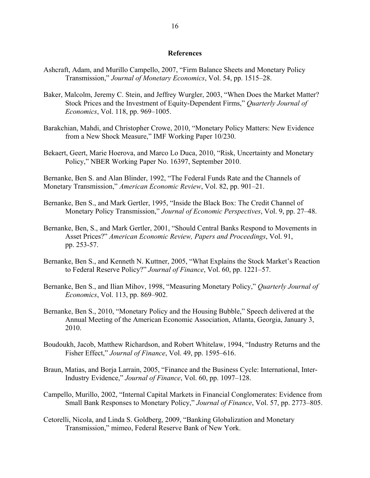#### **References**

- Ashcraft, Adam, and Murillo Campello, 2007, "Firm Balance Sheets and Monetary Policy Transmission," *Journal of Monetary Economics*, Vol. 54, pp. 1515–28.
- Baker, Malcolm, Jeremy C. Stein, and Jeffrey Wurgler, 2003, "When Does the Market Matter? Stock Prices and the Investment of Equity-Dependent Firms," *Quarterly Journal of Economics*, Vol. 118, pp. 969–1005.
- Barakchian, Mahdi, and Christopher Crowe, 2010, "Monetary Policy Matters: New Evidence from a New Shock Measure," IMF Working Paper 10/230.
- Bekaert, Geert, Marie Hoerova, and Marco Lo Duca, 2010, "Risk, Uncertainty and Monetary Policy," NBER Working Paper No. 16397, September 2010.

Bernanke, Ben S. and Alan Blinder, 1992, "The Federal Funds Rate and the Channels of Monetary Transmission," *American Economic Review*, Vol. 82, pp. 901–21.

- Bernanke, Ben S., and Mark Gertler, 1995, "Inside the Black Box: The Credit Channel of Monetary Policy Transmission," *Journal of Economic Perspectives*, Vol. 9, pp. 27–48.
- Bernanke, Ben, S., and Mark Gertler, 2001, "Should Central Banks Respond to Movements in Asset Prices?" *American Economic Review, Papers and Proceedings*, Vol. 91, pp. 253-57.
- Bernanke, Ben S., and Kenneth N. Kuttner, 2005, "What Explains the Stock Market's Reaction to Federal Reserve Policy?" *Journal of Finance*, Vol. 60, pp. 1221–57.
- Bernanke, Ben S., and Ilian Mihov, 1998, "Measuring Monetary Policy," *Quarterly Journal of Economics*, Vol. 113, pp. 869–902.
- Bernanke, Ben S., 2010, "Monetary Policy and the Housing Bubble," Speech delivered at the Annual Meeting of the American Economic Association, Atlanta, Georgia, January 3, 2010.
- Boudoukh, Jacob, Matthew Richardson, and Robert Whitelaw, 1994, "Industry Returns and the Fisher Effect," *Journal of Finance*, Vol. 49, pp. 1595–616.
- Braun, Matias, and Borja Larrain, 2005, "Finance and the Business Cycle: International, Inter-Industry Evidence," *Journal of Finance*, Vol. 60, pp. 1097–128.
- Campello, Murillo, 2002, "Internal Capital Markets in Financial Conglomerates: Evidence from Small Bank Responses to Monetary Policy," *Journal of Finance*, Vol. 57, pp. 2773–805.
- Cetorelli, Nicola, and Linda S. Goldberg, 2009, "Banking Globalization and Monetary Transmission," mimeo, Federal Reserve Bank of New York.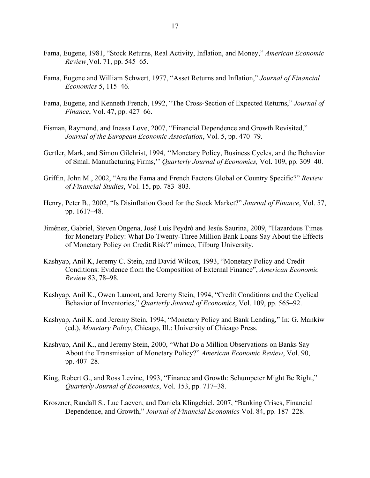- Fama, Eugene, 1981, "Stock Returns, Real Activity, Inflation, and Money," *American Economic Review*¸Vol. 71, pp. 545–65.
- Fama, Eugene and William Schwert, 1977, "Asset Returns and Inflation," *Journal of Financial Economics* 5, 115–46.
- Fama, Eugene, and Kenneth French, 1992, "The Cross-Section of Expected Returns," *Journal of Finance*, Vol. 47, pp. 427–66.
- Fisman, Raymond, and Inessa Love, 2007, "Financial Dependence and Growth Revisited," *Journal of the European Economic Association*, Vol. 5, pp. 470–79.
- Gertler, Mark, and Simon Gilchrist, 1994, ''Monetary Policy, Business Cycles, and the Behavior of Small Manufacturing Firms,'' *Quarterly Journal of Economics,* Vol. 109, pp. 309–40.
- Griffin, John M., 2002, "Are the Fama and French Factors Global or Country Specific?" *Review of Financial Studies*, Vol. 15, pp. 783–803.
- Henry, Peter B., 2002, "Is Disinflation Good for the Stock Market?" *Journal of Finance*, Vol. 57, pp. 1617–48.
- Jiménez, Gabriel, Steven Ongena, José Luis Peydró and Jesús Saurina, 2009, "Hazardous Times for Monetary Policy: What Do Twenty-Three Million Bank Loans Say About the Effects of Monetary Policy on Credit Risk?" mimeo, Tilburg University.
- Kashyap, Anil K, Jeremy C. Stein, and David Wilcox, 1993, "Monetary Policy and Credit Conditions: Evidence from the Composition of External Finance", *American Economic Review* 83, 78–98.
- Kashyap, Anil K., Owen Lamont, and Jeremy Stein, 1994, "Credit Conditions and the Cyclical Behavior of Inventories," *Quarterly Journal of Economics*, Vol. 109, pp. 565–92.
- Kashyap, Anil K. and Jeremy Stein, 1994, "Monetary Policy and Bank Lending," In: G. Mankiw (ed.), *Monetary Policy*, Chicago, Ill.: University of Chicago Press.
- Kashyap, Anil K., and Jeremy Stein, 2000, "What Do a Million Observations on Banks Say About the Transmission of Monetary Policy?" *American Economic Review*, Vol. 90, pp. 407–28.
- King, Robert G., and Ross Levine, 1993, "Finance and Growth: Schumpeter Might Be Right," *Quarterly Journal of Economics*, Vol. 153, pp. 717–38.
- Kroszner, Randall S., Luc Laeven, and Daniela Klingebiel, 2007, "Banking Crises, Financial Dependence, and Growth," *Journal of Financial Economics* Vol. 84, pp. 187–228.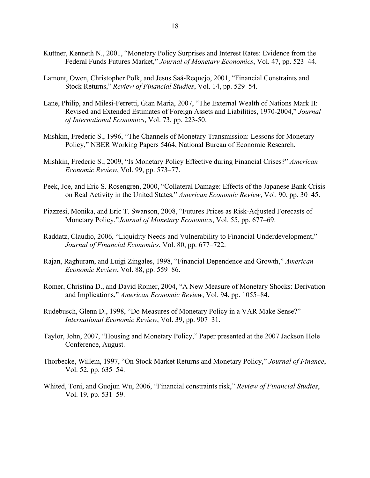- Kuttner, Kenneth N., 2001, "Monetary Policy Surprises and Interest Rates: Evidence from the Federal Funds Futures Market," *Journal of Monetary Economics*, Vol. 47, pp. 523–44.
- Lamont, Owen, Christopher Polk, and Jesus Saá-Requejo, 2001, "Financial Constraints and Stock Returns," *Review of Financial Studies*, Vol. 14, pp. 529–54.
- Lane, Philip, and Milesi-Ferretti, Gian Maria, 2007, "The External Wealth of Nations Mark II: Revised and Extended Estimates of Foreign Assets and Liabilities, 1970-2004," *Journal of International Economics*, Vol. 73, pp. 223-50.
- Mishkin, Frederic S., 1996, "The Channels of Monetary Transmission: Lessons for Monetary Policy," NBER Working Papers 5464, National Bureau of Economic Research.
- Mishkin, Frederic S., 2009, "Is Monetary Policy Effective during Financial Crises?" *American Economic Review*, Vol. 99, pp. 573–77.
- Peek, Joe, and Eric S. Rosengren, 2000, "Collateral Damage: Effects of the Japanese Bank Crisis on Real Activity in the United States," *American Economic Review*, Vol. 90, pp. 30–45.
- Piazzesi, Monika, and Eric T. Swanson, 2008, "Futures Prices as Risk-Adjusted Forecasts of Monetary Policy,"*Journal of Monetary Economics*, Vol. 55, pp. 677–69.
- Raddatz, Claudio, 2006, "Liquidity Needs and Vulnerability to Financial Underdevelopment," *Journal of Financial Economics*, Vol. 80, pp. 677–722.
- Rajan, Raghuram, and Luigi Zingales, 1998, "Financial Dependence and Growth," *American Economic Review*, Vol. 88, pp. 559–86.
- Romer, Christina D., and David Romer, 2004, "A New Measure of Monetary Shocks: Derivation and Implications," *American Economic Review*, Vol. 94, pp. 1055–84.
- Rudebusch, Glenn D., 1998, "Do Measures of Monetary Policy in a VAR Make Sense?" *International Economic Review*, Vol. 39, pp. 907–31.
- Taylor, John, 2007, "Housing and Monetary Policy," Paper presented at the 2007 Jackson Hole Conference, August.
- Thorbecke, Willem, 1997, "On Stock Market Returns and Monetary Policy," *Journal of Finance*, Vol. 52, pp. 635–54.
- Whited, Toni, and Guojun Wu, 2006, "Financial constraints risk," *Review of Financial Studies*, Vol. 19, pp. 531–59.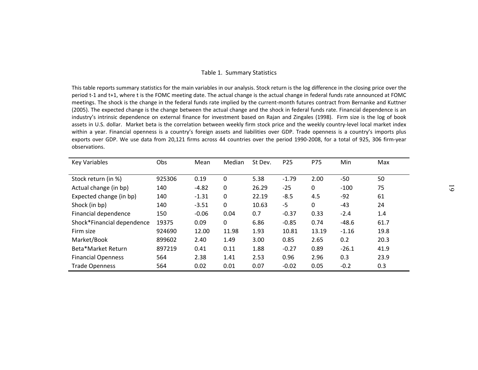#### Table 1. Summary Statistics

This table reports summary statistics for the main variables in our analysis. Stock return is the log difference in the closing price over the period t-1 and t+1, where t is the FOMC meeting date. The actual change is the actual change in federal funds rate announced at FOMC meetings. The shock is the change in the federal funds rate implied by the current-month futures contract from Bernanke and Kuttner (2005). The expected change is the change between the actual change and the shock in federal funds rate. Financial dependence is an industry's intrinsic dependence on external finance for investment based on Rajan and Zingales (1998). Firm size is the log of book assets in U.S. dollar. Market beta is the correlation between weekly firm stock price and the weekly country-level local market index within a year. Financial openness is a country's foreign assets and liabilities over GDP. Trade openness is a country's imports plus exports over GDP. We use data from 20,121 firms across 44 countries over the period 1990-2008, for a total of 925, 306 firm-year observations.

| <b>Key Variables</b>       | Obs    | Mean    | Median       | St Dev. | P <sub>25</sub> | P75   | Min     | Max  |
|----------------------------|--------|---------|--------------|---------|-----------------|-------|---------|------|
|                            |        |         |              |         |                 |       |         |      |
| Stock return (in %)        | 925306 | 0.19    | $\Omega$     | 5.38    | $-1.79$         | 2.00  | -50     | 50   |
| Actual change (in bp)      | 140    | $-4.82$ | $\mathbf 0$  | 26.29   | $-25$           | 0     | $-100$  | 75   |
| Expected change (in bp)    | 140    | $-1.31$ | 0            | 22.19   | $-8.5$          | 4.5   | $-92$   | 61   |
| Shock (in bp)              | 140    | $-3.51$ | $\mathbf{0}$ | 10.63   | $-5$            | 0     | $-43$   | 24   |
| Financial dependence       | 150    | $-0.06$ | 0.04         | 0.7     | $-0.37$         | 0.33  | $-2.4$  | 1.4  |
| Shock*Financial dependence | 19375  | 0.09    | $\mathbf{0}$ | 6.86    | $-0.85$         | 0.74  | $-48.6$ | 61.7 |
| Firm size                  | 924690 | 12.00   | 11.98        | 1.93    | 10.81           | 13.19 | $-1.16$ | 19.8 |
| Market/Book                | 899602 | 2.40    | 1.49         | 3.00    | 0.85            | 2.65  | 0.2     | 20.3 |
| Beta*Market Return         | 897219 | 0.41    | 0.11         | 1.88    | $-0.27$         | 0.89  | $-26.1$ | 41.9 |
| <b>Financial Openness</b>  | 564    | 2.38    | 1.41         | 2.53    | 0.96            | 2.96  | 0.3     | 23.9 |
| <b>Trade Openness</b>      | 564    | 0.02    | 0.01         | 0.07    | $-0.02$         | 0.05  | $-0.2$  | 0.3  |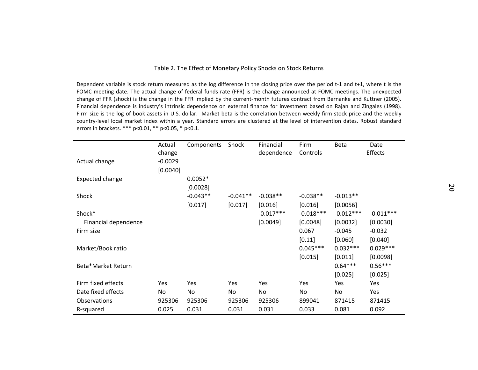#### Table 2. The Effect of Monetary Policy Shocks on Stock Returns

Dependent variable is stock return measured as the log difference in the closing price over the period t-1 and t+1, where t is the FOMC meeting date. The actual change of federal funds rate (FFR) is the change announced at FOMC meetings. The unexpected change of FFR (shock) is the change in the FFR implied by the current-month futures contract from Bernanke and Kuttner (2005). Financial dependence is industry's intrinsic dependence on external finance for investment based on Rajan and Zingales (1998). Firm size is the log of book assets in U.S. dollar. Market beta is the correlation between weekly firm stock price and the weekly country-level local market index within a year. Standard errors are clustered at the level of intervention dates. Robust standard errors in brackets. \*\*\* p<0.01, \*\* p<0.05, \* p<0.1.

|                      | Actual    | Components | Shock      | Financial   | Firm        | Beta        | Date           |
|----------------------|-----------|------------|------------|-------------|-------------|-------------|----------------|
|                      | change    |            |            | dependence  | Controls    |             | <b>Effects</b> |
| Actual change        | $-0.0029$ |            |            |             |             |             |                |
|                      | [0.0040]  |            |            |             |             |             |                |
| Expected change      |           | $0.0052*$  |            |             |             |             |                |
|                      |           | [0.0028]   |            |             |             |             |                |
| Shock                |           | $-0.043**$ | $-0.041**$ | $-0.038**$  | $-0.038**$  | $-0.013**$  |                |
|                      |           | [0.017]    | [0.017]    | [0.016]     | [0.016]     | [0.0056]    |                |
| Shock*               |           |            |            | $-0.017***$ | $-0.018***$ | $-0.012***$ | $-0.011***$    |
| Financial dependence |           |            |            | [0.0049]    | [0.0048]    | [0.0032]    | [0.0030]       |
| Firm size            |           |            |            |             | 0.067       | $-0.045$    | $-0.032$       |
|                      |           |            |            |             | [0.11]      | [0.060]     | [0.040]        |
| Market/Book ratio    |           |            |            |             | $0.045***$  | $0.032***$  | $0.029***$     |
|                      |           |            |            |             | [0.015]     | [0.011]     | [0.0098]       |
| Beta*Market Return   |           |            |            |             |             | $0.64***$   | $0.56***$      |
|                      |           |            |            |             |             | [0.025]     | [0.025]        |
| Firm fixed effects   | Yes       | Yes        | Yes        | Yes         | Yes         | Yes         | Yes            |
| Date fixed effects   | No        | No         | No         | No.         | No          | No          | Yes            |
| <b>Observations</b>  | 925306    | 925306     | 925306     | 925306      | 899041      | 871415      | 871415         |
| R-squared            | 0.025     | 0.031      | 0.031      | 0.031       | 0.033       | 0.081       | 0.092          |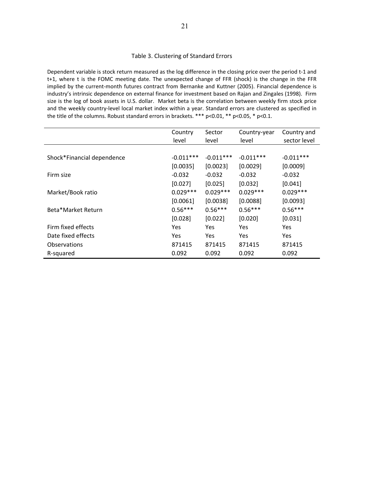#### Table 3. Clustering of Standard Errors

Dependent variable is stock return measured as the log difference in the closing price over the period t-1 and t+1, where t is the FOMC meeting date. The unexpected change of FFR (shock) is the change in the FFR implied by the current-month futures contract from Bernanke and Kuttner (2005). Financial dependence is industry's intrinsic dependence on external finance for investment based on Rajan and Zingales (1998). Firm size is the log of book assets in U.S. dollar. Market beta is the correlation between weekly firm stock price and the weekly country-level local market index within a year. Standard errors are clustered as specified in the title of the columns. Robust standard errors in brackets. \*\*\* p<0.01, \*\* p<0.05, \* p<0.1.

|                            | Country     | Sector      | Country-year | Country and  |
|----------------------------|-------------|-------------|--------------|--------------|
|                            | level       | level       | level        | sector level |
|                            |             |             |              |              |
| Shock*Financial dependence | $-0.011***$ | $-0.011***$ | $-0.011***$  | $-0.011***$  |
|                            | [0.0035]    | [0.0023]    | [0.0029]     | [0.0009]     |
| Firm size                  | $-0.032$    | $-0.032$    | $-0.032$     | $-0.032$     |
|                            | [0.027]     | [0.025]     | [0.032]      | [0.041]      |
| Market/Book ratio          | $0.029***$  | $0.029***$  | $0.029***$   | $0.029***$   |
|                            | [0.0061]    | [0.0038]    | [0.0088]     | [0.0093]     |
| Beta*Market Return         | $0.56***$   | $0.56***$   | $0.56***$    | $0.56***$    |
|                            | [0.028]     | [0.022]     | [0.020]      | [0.031]      |
| Firm fixed effects         | Yes         | Yes         | Yes          | Yes          |
| Date fixed effects         | Yes         | <b>Yes</b>  | <b>Yes</b>   | Yes          |
| <b>Observations</b>        | 871415      | 871415      | 871415       | 871415       |
| R-squared                  | 0.092       | 0.092       | 0.092        | 0.092        |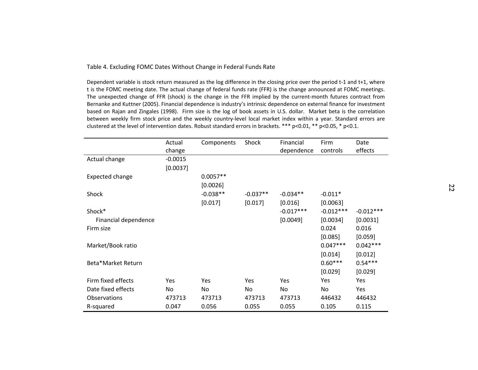#### Table 4. Excluding FOMC Dates Without Change in Federal Funds Rate

Dependent variable is stock return measured as the log difference in the closing price over the period t-1 and t+1, where t is the FOMC meeting date. The actual change of federal funds rate (FFR) is the change announced at FOMC meetings. The unexpected change of FFR (shock) is the change in the FFR implied by the current-month futures contract from Bernanke and Kuttner (2005). Financial dependence is industry's intrinsic dependence on external finance for investment based on Rajan and Zingales (1998). Firm size is the log of book assets in U.S. dollar. Market beta is the correlation between weekly firm stock price and the weekly country-level local market index within a year. Standard errors are clustered at the level of intervention dates. Robust standard errors in brackets. \*\*\* p<0.01, \*\* p<0.05, \* p<0.1.

|                      | Actual<br>change | Components | Shock      | Financial<br>dependence | Firm<br>controls | Date<br>effects |
|----------------------|------------------|------------|------------|-------------------------|------------------|-----------------|
| Actual change        | $-0.0015$        |            |            |                         |                  |                 |
|                      | [0.0037]         |            |            |                         |                  |                 |
| Expected change      |                  | $0.0057**$ |            |                         |                  |                 |
|                      |                  | [0.0026]   |            |                         |                  |                 |
| Shock                |                  | $-0.038**$ | $-0.037**$ | $-0.034**$              | $-0.011*$        |                 |
|                      |                  | [0.017]    | [0.017]    | [0.016]                 | [0.0063]         |                 |
| Shock*               |                  |            |            | $-0.017***$             | $-0.012***$      | $-0.012***$     |
| Financial dependence |                  |            |            | [0.0049]                | [0.0034]         | [0.0031]        |
| Firm size            |                  |            |            |                         | 0.024            | 0.016           |
|                      |                  |            |            |                         | [0.085]          | [0.059]         |
| Market/Book ratio    |                  |            |            |                         | $0.047***$       | $0.042***$      |
|                      |                  |            |            |                         | [0.014]          | [0.012]         |
| Beta*Market Return   |                  |            |            |                         | $0.60***$        | $0.54***$       |
|                      |                  |            |            |                         | [0.029]          | [0.029]         |
| Firm fixed effects   | Yes              | Yes        | Yes        | Yes                     | Yes              | Yes             |
| Date fixed effects   | No               | No.        | No.        | No.                     | No               | <b>Yes</b>      |
| <b>Observations</b>  | 473713           | 473713     | 473713     | 473713                  | 446432           | 446432          |
| R-squared            | 0.047            | 0.056      | 0.055      | 0.055                   | 0.105            | 0.115           |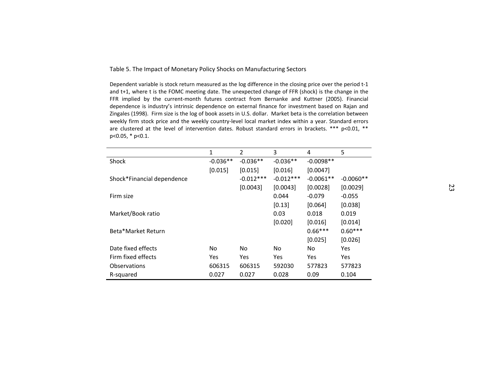Table 5. The Impact of Monetary Policy Shocks on Manufacturing Sectors

Dependent variable is stock return measured as the log difference in the closing price over the period t-1 and t+1, where t is the FOMC meeting date. The unexpected change of FFR (shock) is the change in the FFR implied by the current-month futures contract from Bernanke and Kuttner (2005). Financial dependence is industry's intrinsic dependence on external finance for investment based on Rajan and Zingales (1998). Firm size is the log of book assets in U.S. dollar. Market beta is the correlation between weekly firm stock price and the weekly country-level local market index within a year. Standard errors are clustered at the level of intervention dates. Robust standard errors in brackets. \*\*\* p<0.01, \*\* p<0.05, \* p<0.1.

|                            | 1          | 2           | 3           | 4           | 5           |
|----------------------------|------------|-------------|-------------|-------------|-------------|
| <b>Shock</b>               | $-0.036**$ | $-0.036**$  | $-0.036**$  | $-0.0098**$ |             |
|                            | [0.015]    | [0.015]     | [0.016]     | [0.0047]    |             |
| Shock*Financial dependence |            | $-0.012***$ | $-0.012***$ | $-0.0061**$ | $-0.0060**$ |
|                            |            | [0.0043]    | [0.0043]    | [0.0028]    | [0.0029]    |
| Firm size                  |            |             | 0.044       | $-0.079$    | $-0.055$    |
|                            |            |             | [0.13]      | [0.064]     | [0.038]     |
| Market/Book ratio          |            |             | 0.03        | 0.018       | 0.019       |
|                            |            |             | [0.020]     | [0.016]     | [0.014]     |
| Beta*Market Return         |            |             |             | $0.66***$   | $0.60***$   |
|                            |            |             |             | [0.025]     | [0.026]     |
| Date fixed effects         | No         | No          | No.         | No          | Yes         |
| Firm fixed effects         | Yes        | Yes         | <b>Yes</b>  | Yes         | Yes         |
| Observations               | 606315     | 606315      | 592030      | 577823      | 577823      |
| R-squared                  | 0.027      | 0.027       | 0.028       | 0.09        | 0.104       |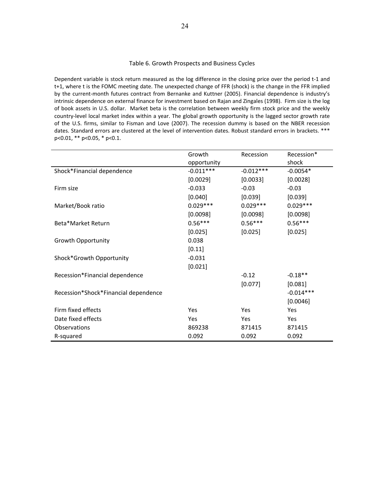#### Table 6. Growth Prospects and Business Cycles

Dependent variable is stock return measured as the log difference in the closing price over the period t-1 and t+1, where t is the FOMC meeting date. The unexpected change of FFR (shock) is the change in the FFR implied by the current-month futures contract from Bernanke and Kuttner (2005). Financial dependence is industry's intrinsic dependence on external finance for investment based on Rajan and Zingales (1998). Firm size is the log of book assets in U.S. dollar. Market beta is the correlation between weekly firm stock price and the weekly country-level local market index within a year. The global growth opportunity is the lagged sector growth rate of the U.S. firms, similar to Fisman and Love (2007). The recession dummy is based on the NBER recession dates. Standard errors are clustered at the level of intervention dates. Robust standard errors in brackets. \*\*\* p<0.01, \*\* p<0.05, \* p<0.1.

|                                      | Growth      | Recession   | Recession*  |
|--------------------------------------|-------------|-------------|-------------|
|                                      | opportunity |             | shock       |
| Shock*Financial dependence           | $-0.011***$ | $-0.012***$ | $-0.0054*$  |
|                                      | [0.0029]    | [0.0033]    | [0.0028]    |
| Firm size                            | $-0.033$    | $-0.03$     | $-0.03$     |
|                                      | [0.040]     | [0.039]     | [0.039]     |
| Market/Book ratio                    | $0.029***$  | $0.029***$  | $0.029***$  |
|                                      | [0.0098]    | [0.0098]    | [0.0098]    |
| Beta*Market Return                   | $0.56***$   | $0.56***$   | $0.56***$   |
|                                      | [0.025]     | [0.025]     | [0.025]     |
| <b>Growth Opportunity</b>            | 0.038       |             |             |
|                                      | [0.11]      |             |             |
| Shock*Growth Opportunity             | $-0.031$    |             |             |
|                                      | [0.021]     |             |             |
| Recession*Financial dependence       |             | $-0.12$     | $-0.18**$   |
|                                      |             | [0.077]     | [0.081]     |
| Recession*Shock*Financial dependence |             |             | $-0.014***$ |
|                                      |             |             | [0.0046]    |
| Firm fixed effects                   | <b>Yes</b>  | Yes         | Yes         |
| Date fixed effects                   | Yes         | Yes         | Yes         |
| Observations                         | 869238      | 871415      | 871415      |
| R-squared                            | 0.092       | 0.092       | 0.092       |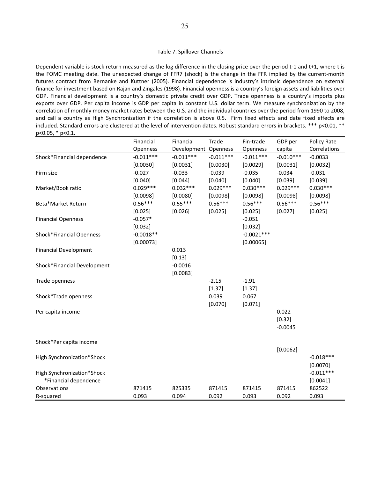#### Table 7. Spillover Channels

Dependent variable is stock return measured as the log difference in the closing price over the period t-1 and t+1, where t is the FOMC meeting date. The unexpected change of FFR7 (shock) is the change in the FFR implied by the current-month futures contract from Bernanke and Kuttner (2005). Financial dependence is industry's intrinsic dependence on external finance for investment based on Rajan and Zingales (1998). Financial openness is a country's foreign assets and liabilities over GDP. Financial development is a country's domestic private credit over GDP. Trade openness is a country's imports plus exports over GDP. Per capita income is GDP per capita in constant U.S. dollar term. We measure synchronization by the correlation of monthly money market rates between the U.S. and the individual countries over the period from 1990 to 2008, and call a country as High Synchronization if the correlation is above 0.5. Firm fixed effects and date fixed effects are included. Standard errors are clustered at the level of intervention dates. Robust standard errors in brackets. \*\*\* p<0.01, \*\* p<0.05, \* p<0.1.

|                              | Financial   | Financial            | Trade       | Fin-trade    | GDP per     | Policy Rate  |
|------------------------------|-------------|----------------------|-------------|--------------|-------------|--------------|
|                              | Openness    | Development Openness |             | Openness     | capita      | Correlations |
| Shock*Financial dependence   | $-0.011***$ | $-0.011***$          | $-0.011***$ | $-0.011***$  | $-0.010***$ | $-0.0033$    |
|                              | [0.0030]    | [0.0031]             | [0.0030]    | [0.0029]     | [0.0031]    | [0.0032]     |
| Firm size                    | $-0.027$    | $-0.033$             | $-0.039$    | $-0.035$     | $-0.034$    | $-0.031$     |
|                              | [0.040]     | [0.044]              | [0.040]     | [0.040]      | [0.039]     | [0.039]      |
| Market/Book ratio            | $0.029***$  | $0.032***$           | $0.029***$  | $0.030***$   | $0.029***$  | $0.030***$   |
|                              | [0.0098]    | [0.0080]             | [0.0098]    | [0.0098]     | [0.0098]    | [0.0098]     |
| Beta*Market Return           | $0.56***$   | $0.55***$            | $0.56***$   | $0.56***$    | $0.56***$   | $0.56***$    |
|                              | [0.025]     | [0.026]              | [0.025]     | [0.025]      | [0.027]     | [0.025]      |
| <b>Financial Openness</b>    | $-0.057*$   |                      |             | $-0.051$     |             |              |
|                              | [0.032]     |                      |             | [0.032]      |             |              |
| Shock*Financial Openness     | $-0.0018**$ |                      |             | $-0.0021***$ |             |              |
|                              | [0.00073]   |                      |             | [0.00065]    |             |              |
| <b>Financial Development</b> |             | 0.013                |             |              |             |              |
|                              |             | [0.13]               |             |              |             |              |
| Shock*Financial Development  |             | $-0.0016$            |             |              |             |              |
|                              |             | [0.0083]             |             |              |             |              |
| Trade openness               |             |                      | $-2.15$     | $-1.91$      |             |              |
|                              |             |                      | [1.37]      | [1.37]       |             |              |
| Shock*Trade openness         |             |                      | 0.039       | 0.067        |             |              |
|                              |             |                      | [0.070]     | [0.071]      |             |              |
| Per capita income            |             |                      |             |              | 0.022       |              |
|                              |             |                      |             |              | [0.32]      |              |
|                              |             |                      |             |              | $-0.0045$   |              |
| Shock*Per capita income      |             |                      |             |              |             |              |
|                              |             |                      |             |              | [0.0062]    |              |
| High Synchronization*Shock   |             |                      |             |              |             | $-0.018***$  |
|                              |             |                      |             |              |             | [0.0070]     |
| High Synchronization*Shock   |             |                      |             |              |             | $-0.011***$  |
| *Financial dependence        |             |                      |             |              |             | [0.0041]     |
| Observations                 | 871415      | 825335               | 871415      | 871415       | 871415      | 862522       |
| R-squared                    | 0.093       | 0.094                | 0.092       | 0.093        | 0.092       | 0.093        |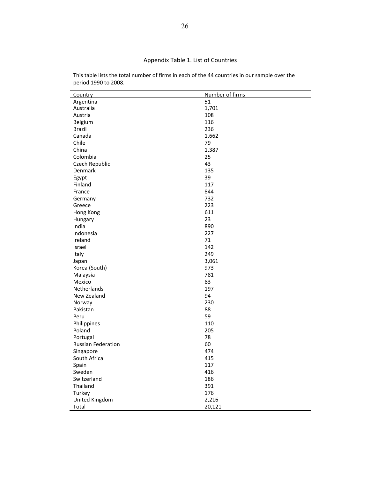# Appendix Table 1. List of Countries

| Country                   | Number of firms |
|---------------------------|-----------------|
| Argentina                 | 51              |
| Australia                 | 1,701           |
| Austria                   | 108             |
| Belgium                   | 116             |
| <b>Brazil</b>             | 236             |
| Canada                    | 1,662           |
| Chile                     | 79              |
| China                     | 1,387           |
| Colombia                  | 25              |
| Czech Republic            | 43              |
| Denmark                   | 135             |
| Egypt                     | 39              |
| Finland                   | 117             |
| France                    | 844             |
| Germany                   | 732             |
| Greece                    | 223             |
| Hong Kong                 | 611             |
| Hungary                   | 23              |
| India                     | 890             |
| Indonesia                 | 227             |
| Ireland                   | 71              |
| Israel                    | 142             |
| Italy                     | 249             |
| Japan                     | 3,061           |
| Korea (South)             | 973             |
| Malaysia                  | 781             |
| Mexico                    | 83              |
| Netherlands               | 197             |
| New Zealand               | 94              |
| Norway                    | 230             |
| Pakistan                  | 88              |
| Peru                      | 59              |
| Philippines               | 110             |
| Poland                    | 205             |
| Portugal                  | 78              |
| <b>Russian Federation</b> | 60              |
| Singapore                 | 474             |
| South Africa              | 415             |
| Spain                     | 117             |
| Sweden                    | 416             |
| Switzerland               | 186             |
| Thailand                  | 391             |
| Turkey                    | 176             |
| United Kingdom            | 2,216           |
| Total                     | 20,121          |

This table lists the total number of firms in each of the 44 countries in our sample over the period 1990 to 2008.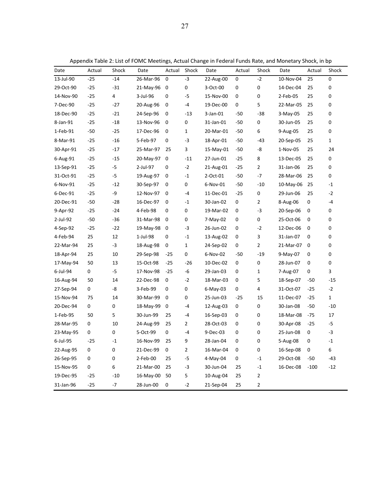| Appendix Table 2: List of FOMC Meetings, Actual Change in Federal Funds Rate, and Monetary Shock, in bp |
|---------------------------------------------------------------------------------------------------------|
|---------------------------------------------------------------------------------------------------------|

| Date      | Actual | Shock          | Date      | Actual    | Shock          | Date        | Actual    | Shock                   | Date      | Actual      | Shock          |
|-----------|--------|----------------|-----------|-----------|----------------|-------------|-----------|-------------------------|-----------|-------------|----------------|
| 13-Jul-90 | $-25$  | $-14$          | 26-Mar-96 | 0         | $-3$           | 22-Aug-00   | $\pmb{0}$ | $-2$                    | 10-Nov-04 | 25          | 0              |
| 29-Oct-90 | $-25$  | $-31$          | 21-May-96 | 0         | 0              | 3-Oct-00    | 0         | 0                       | 14-Dec-04 | 25          | 0              |
| 14-Nov-90 | $-25$  | 4              | 3-Jul-96  | 0         | $-5$           | 15-Nov-00   | 0         | 0                       | 2-Feb-05  | 25          | 0              |
| 7-Dec-90  | $-25$  | $-27$          | 20-Aug-96 | 0         | -4             | 19-Dec-00   | 0         | 5                       | 22-Mar-05 | 25          | 0              |
| 18-Dec-90 | $-25$  | $-21$          | 24-Sep-96 | 0         | $-13$          | $3$ -Jan-01 | $-50$     | $-38$                   | 3-May-05  | 25          | 0              |
| 8-Jan-91  | $-25$  | $-18$          | 13-Nov-96 | 0         | 0              | 31-Jan-01   | $-50$     | 0                       | 30-Jun-05 | 25          | 0              |
| 1-Feb-91  | $-50$  | $-25$          | 17-Dec-96 | 0         | $\mathbf{1}$   | 20-Mar-01   | $-50$     | 6                       | 9-Aug-05  | 25          | 0              |
| 8-Mar-91  | $-25$  | $-16$          | 5-Feb-97  | 0         | $-3$           | 18-Apr-01   | $-50$     | $-43$                   | 20-Sep-05 | 25          | $\mathbf{1}$   |
| 30-Apr-91 | $-25$  | $-17$          | 25-Mar-97 | 25        | 3              | 15-May-01   | $-50$     | -8                      | 1-Nov-05  | 25          | 24             |
| 6-Aug-91  | $-25$  | $-15$          | 20-May-97 | 0         | $-11$          | 27-Jun-01   | $-25$     | 8                       | 13-Dec-05 | 25          | 0              |
| 13-Sep-91 | $-25$  | $-5$           | 2-Jul-97  | 0         | $-2$           | 21-Aug-01   | $-25$     | $\overline{2}$          | 31-Jan-06 | 25          | 0              |
| 31-Oct-91 | $-25$  | $-5$           | 19-Aug-97 | 0         | $-1$           | 2-Oct-01    | $-50$     | $-7$                    | 28-Mar-06 | 25          | 0              |
| 6-Nov-91  | $-25$  | $-12$          | 30-Sep-97 | 0         | 0              | 6-Nov-01    | $-50$     | $-10$                   | 10-May-06 | 25          | $^{\mbox{-}}1$ |
| 6-Dec-91  | $-25$  | -9             | 12-Nov-97 | 0         | $-4$           | 11-Dec-01   | $-25$     | 0                       | 29-Jun-06 | 25          | $-2$           |
| 20-Dec-91 | $-50$  | $-28$          | 16-Dec-97 | 0         | $-1$           | 30-Jan-02   | 0         | $\overline{2}$          | 8-Aug-06  | 0           | $-4$           |
| 9-Apr-92  | $-25$  | $-24$          | 4-Feb-98  | 0         | 0              | 19-Mar-02   | 0         | $-3$                    | 20-Sep-06 | 0           | 0              |
| 2-Jul-92  | $-50$  | $-36$          | 31-Mar-98 | 0         | $\pmb{0}$      | 7-May-02    | 0         | 0                       | 25-Oct-06 | 0           | 0              |
| 4-Sep-92  | $-25$  | $-22$          | 19-May-98 | 0         | $-3$           | 26-Jun-02   | 0         | $-2$                    | 12-Dec-06 | 0           | 0              |
| 4-Feb-94  | 25     | 12             | 1-Jul-98  | 0         | $-1$           | 13-Aug-02   | 0         | 3                       | 31-Jan-07 | 0           | 0              |
| 22-Mar-94 | 25     | $-3$           | 18-Aug-98 | 0         | $\mathbf 1$    | 24-Sep-02   | $\pmb{0}$ | $\overline{2}$          | 21-Mar-07 | $\mathbf 0$ | 0              |
| 18-Apr-94 | 25     | 10             | 29-Sep-98 | $-25$     | 0              | 6-Nov-02    | $-50$     | $-19$                   | 9-May-07  | 0           | 0              |
| 17-May-94 | 50     | 13             | 15-Oct-98 | $-25$     | $-26$          | 10-Dec-02   | 0         | 0                       | 28-Jun-07 | 0           | $\pmb{0}$      |
| 6-Jul-94  | 0      | $-5$           | 17-Nov-98 | $-25$     | -6             | 29-Jan-03   | 0         | $\mathbf{1}$            | 7-Aug-07  | 0           | 3              |
| 16-Aug-94 | 50     | 14             | 22-Dec-98 | 0         | $-2$           | 18-Mar-03   | 0         | 5                       | 18-Sep-07 | $-50$       | $-15$          |
| 27-Sep-94 | 0      | -8             | 3-Feb-99  | 0         | 0              | 6-May-03    | 0         | 4                       | 31-Oct-07 | $-25$       | $-2$           |
| 15-Nov-94 | 75     | 14             | 30-Mar-99 | 0         | 0              | 25-Jun-03   | $-25$     | 15                      | 11-Dec-07 | $-25$       | $\mathbf{1}$   |
| 20-Dec-94 | 0      | 0              | 18-May-99 | 0         | $-4$           | 12-Aug-03   | 0         | 0                       | 30-Jan-08 | $-50$       | $-10$          |
| 1-Feb-95  | 50     | 5              | 30-Jun-99 | 25        | -4             | 16-Sep-03   | 0         | 0                       | 18-Mar-08 | $-75$       | 17             |
| 28-Mar-95 | 0      | 10             | 24-Aug-99 | 25        | $\overline{2}$ | 28-Oct-03   | 0         | 0                       | 30-Apr-08 | $-25$       | $-5$           |
| 23-May-95 | 0      | 0              | 5-Oct-99  | 0         | $-4$           | 9-Dec-03    | 0         | 0                       | 25-Jun-08 | 0           | $-3$           |
| 6-Jul-95  | $-25$  | $^{\mbox{-}}1$ | 16-Nov-99 | 25        | 9              | 28-Jan-04   | 0         | 0                       | 5-Aug-08  | 0           | $-1$           |
| 22-Aug-95 | 0      | 0              | 21-Dec-99 | $\pmb{0}$ | 2              | 16-Mar-04   | $\pmb{0}$ | 0                       | 16-Sep-08 | $\pmb{0}$   | 6              |
| 26-Sep-95 | 0      | 0              | 2-Feb-00  | 25        | $-5$           | 4-May-04    | $\pmb{0}$ | $^{\mbox{{\small -1}}}$ | 29-Oct-08 | $-50$       | $-43$          |
| 15-Nov-95 | 0      | 6              | 21-Mar-00 | 25        | $-3$           | 30-Jun-04   | 25        | $-1$                    | 16-Dec-08 | $-100$      | $-12$          |
| 19-Dec-95 | $-25$  | $-10$          | 16-May-00 | 50        | 5              | 10-Aug-04   | 25        | $\overline{\mathbf{c}}$ |           |             |                |
| 31-Jan-96 | $-25$  | $-7$           | 28-Jun-00 | $\pmb{0}$ | $-2$           | 21-Sep-04   | 25        | 2                       |           |             |                |